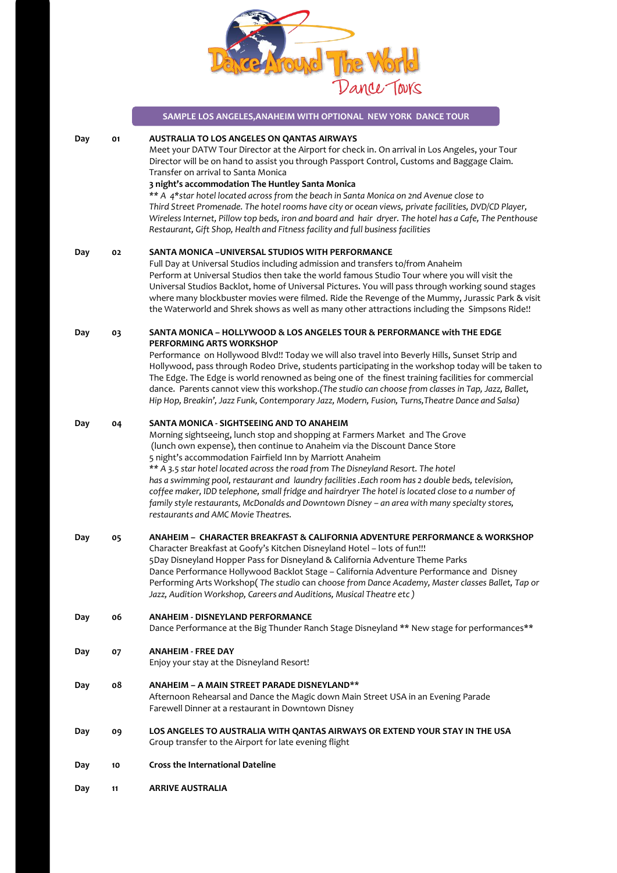

|     |    | SAMPLE LOS ANGELES, ANAHEIM WITH OPTIONAL NEW YORK DANCE TOUR                                                                                                                                                                                                                                                                                                                                                                                                                                                                                                                                                                                                                                                                         |
|-----|----|---------------------------------------------------------------------------------------------------------------------------------------------------------------------------------------------------------------------------------------------------------------------------------------------------------------------------------------------------------------------------------------------------------------------------------------------------------------------------------------------------------------------------------------------------------------------------------------------------------------------------------------------------------------------------------------------------------------------------------------|
| Day | 01 | AUSTRALIA TO LOS ANGELES ON QANTAS AIRWAYS<br>Meet your DATW Tour Director at the Airport for check in. On arrival in Los Angeles, your Tour<br>Director will be on hand to assist you through Passport Control, Customs and Baggage Claim.<br>Transfer on arrival to Santa Monica<br>3 night's accommodation The Huntley Santa Monica<br>** A 4*star hotel located across from the beach in Santa Monica on 2nd Avenue close to<br>Third Street Promenade. The hotel rooms have city or ocean views, private facilities, DVD/CD Player,<br>Wireless Internet, Pillow top beds, iron and board and hair dryer. The hotel has a Cafe, The Penthouse<br>Restaurant, Gift Shop, Health and Fitness facility and full business facilities |
| Day | 02 | SANTA MONICA - UNIVERSAL STUDIOS WITH PERFORMANCE<br>Full Day at Universal Studios including admission and transfers to/from Anaheim<br>Perform at Universal Studios then take the world famous Studio Tour where you will visit the<br>Universal Studios Backlot, home of Universal Pictures. You will pass through working sound stages<br>where many blockbuster movies were filmed. Ride the Revenge of the Mummy, Jurassic Park & visit<br>the Waterworld and Shrek shows as well as many other attractions including the Simpsons Ride!!                                                                                                                                                                                        |
| Day | 03 | SANTA MONICA - HOLLYWOOD & LOS ANGELES TOUR & PERFORMANCE with THE EDGE<br>PERFORMING ARTS WORKSHOP<br>Performance on Hollywood Blvd!! Today we will also travel into Beverly Hills, Sunset Strip and<br>Hollywood, pass through Rodeo Drive, students participating in the workshop today will be taken to<br>The Edge. The Edge is world renowned as being one of the finest training facilities for commercial                                                                                                                                                                                                                                                                                                                     |
|     |    | dance. Parents cannot view this workshop. (The studio can choose from classes in Tap, Jazz, Ballet,<br>Hip Hop, Breakin', Jazz Funk, Contemporary Jazz, Modern, Fusion, Turns, Theatre Dance and Salsa)                                                                                                                                                                                                                                                                                                                                                                                                                                                                                                                               |
| Day | 04 | SANTA MONICA - SIGHTSEEING AND TO ANAHEIM<br>Morning sightseeing, lunch stop and shopping at Farmers Market and The Grove<br>(lunch own expense), then continue to Anaheim via the Discount Dance Store<br>5 night's accommodation Fairfield Inn by Marriott Anaheim<br>** A 3.5 star hotel located across the road from The Disneyland Resort. The hotel<br>has a swimming pool, restaurant and laundry facilities .Each room has 2 double beds, television,<br>coffee maker, IDD telephone, small fridge and hairdryer The hotel is located close to a number of<br>family style restaurants, McDonalds and Downtown Disney - an area with many specialty stores,<br>restaurants and AMC Movie Theatres.                            |
| Day | 05 | ANAHEIM –  CHARACTER BREAKFAST & CALIFORNIA ADVENTURE PERFORMANCE & WORKSHOP<br>Character Breakfast at Goofy's Kitchen Disneyland Hotel - lots of fun!!!<br>5Day Disneyland Hopper Pass for Disneyland & California Adventure Theme Parks<br>Dance Performance Hollywood Backlot Stage - California Adventure Performance and Disney<br>Performing Arts Workshop(The studio can choose from Dance Academy, Master classes Ballet, Tap or<br>Jazz, Audition Workshop, Careers and Auditions, Musical Theatre etc)                                                                                                                                                                                                                      |
| Day | 06 | <b>ANAHEIM - DISNEYLAND PERFORMANCE</b><br>Dance Performance at the Big Thunder Ranch Stage Disneyland ** New stage for performances**                                                                                                                                                                                                                                                                                                                                                                                                                                                                                                                                                                                                |
| Day | 07 | <b>ANAHEIM - FREE DAY</b><br>Enjoy your stay at the Disneyland Resort!                                                                                                                                                                                                                                                                                                                                                                                                                                                                                                                                                                                                                                                                |
| Day | ο8 | ANAHEIM – A MAIN STREET PARADE DISNEYLAND**<br>Afternoon Rehearsal and Dance the Magic down Main Street USA in an Evening Parade<br>Farewell Dinner at a restaurant in Downtown Disney                                                                                                                                                                                                                                                                                                                                                                                                                                                                                                                                                |
| Day | 09 | LOS ANGELES TO AUSTRALIA WITH QANTAS AIRWAYS OR EXTEND YOUR STAY IN THE USA<br>Group transfer to the Airport for late evening flight                                                                                                                                                                                                                                                                                                                                                                                                                                                                                                                                                                                                  |
| Day | 10 | <b>Cross the International Dateline</b>                                                                                                                                                                                                                                                                                                                                                                                                                                                                                                                                                                                                                                                                                               |
| Day | 11 | <b>ARRIVE AUSTRALIA</b>                                                                                                                                                                                                                                                                                                                                                                                                                                                                                                                                                                                                                                                                                                               |